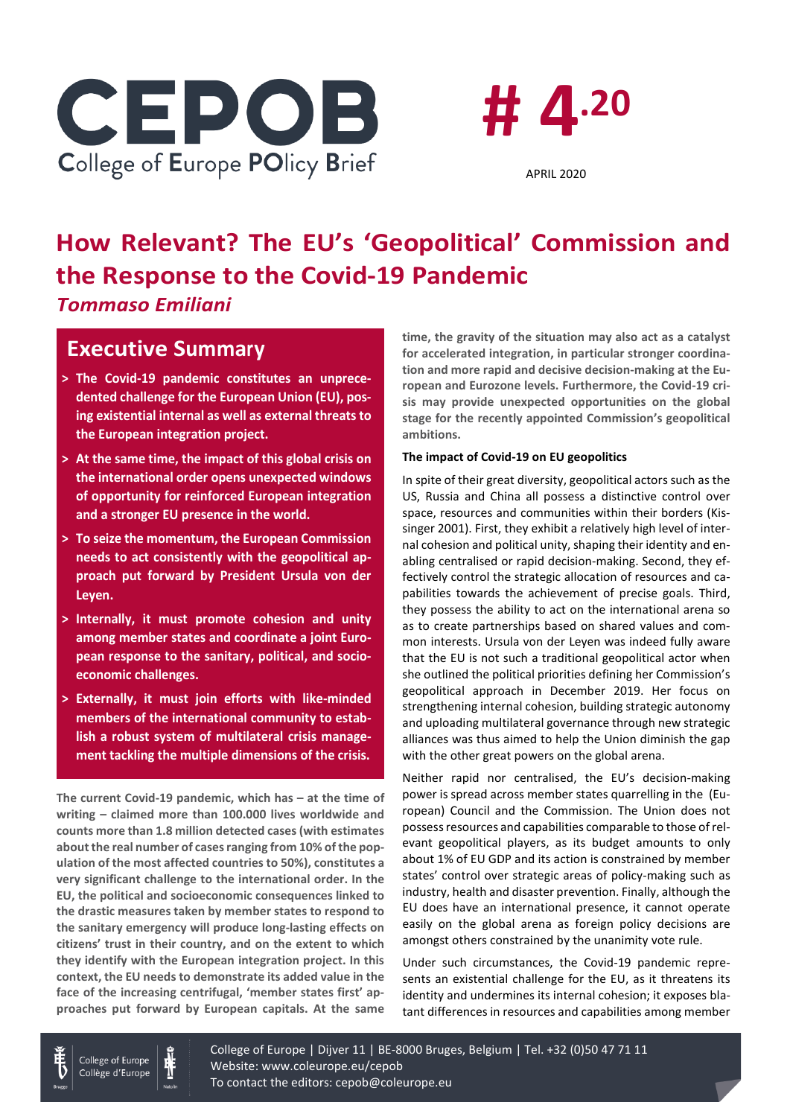



# **How Relevant? The EU's 'Geopolitical' Commission and the Response to the Covid-19 Pandemic** *Tommaso Emiliani*

# **Executive Summary**

- **> The Covid-19 pandemic constitutes an unprecedented challenge for the European Union (EU), posing existential internal as well as external threats to the European integration project.**
- **> At the same time, the impact of this global crisis on the international order opens unexpected windows of opportunity for reinforced European integration and a stronger EU presence in the world.**
- **> To seize the momentum, the European Commission needs to act consistently with the geopolitical approach put forward by President Ursula von der Leyen.**
- **> Internally, it must promote cohesion and unity among member states and coordinate a joint European response to the sanitary, political, and socioeconomic challenges.**
- **> Externally, it must join efforts with like-minded members of the international community to establish a robust system of multilateral crisis management tackling the multiple dimensions of the crisis.**

**The current Covid-19 pandemic, which has – at the time of writing – claimed more than 100.000 lives worldwide and counts more than 1.8 million detected cases (with estimates about the real number of cases ranging from 10% of the population of the most affected countries to 50%), constitutes a very significant challenge to the international order. In the EU, the political and socioeconomic consequences linked to the drastic measures taken by member states to respond to the sanitary emergency will produce long-lasting effects on citizens' trust in their country, and on the extent to which they identify with the European integration project. In this context, the EU needs to demonstrate its added value in the face of the increasing centrifugal, 'member states first' approaches put forward by European capitals. At the same**  **time, the gravity of the situation may also act as a catalyst for accelerated integration, in particular stronger coordination and more rapid and decisive decision-making at the European and Eurozone levels. Furthermore, the Covid-19 crisis may provide unexpected opportunities on the global stage for the recently appointed Commission's geopolitical ambitions.**

## **The impact of Covid-19 on EU geopolitics**

In spite of their great diversity, geopolitical actors such as the US, Russia and China all possess a distinctive control over space, resources and communities within their borders (Kissinger 2001). First, they exhibit a relatively high level of internal cohesion and political unity, shaping their identity and enabling centralised or rapid decision-making. Second, they effectively control the strategic allocation of resources and capabilities towards the achievement of precise goals. Third, they possess the ability to act on the international arena so as to create partnerships based on shared values and common interests. Ursula von der Leyen was indeed fully aware that the EU is not such a traditional geopolitical actor when she outlined the political priorities defining her Commission's geopolitical approach in December 2019. Her focus on strengthening internal cohesion, building strategic autonomy and uploading multilateral governance through new strategic alliances was thus aimed to help the Union diminish the gap with the other great powers on the global arena.

Neither rapid nor centralised, the EU's decision-making power is spread across member states quarrelling in the (European) Council and the Commission. The Union does not possess resources and capabilities comparable to those of relevant geopolitical players, as its budget amounts to only about 1% of EU GDP and its action is constrained by member states' control over strategic areas of policy-making such as industry, health and disaster prevention. Finally, although the EU does have an international presence, it cannot operate easily on the global arena as foreign policy decisions are amongst others constrained by the unanimity vote rule.

Under such circumstances, the Covid-19 pandemic represents an existential challenge for the EU, as it threatens its identity and undermines its internal cohesion; it exposes blatant differences in resources and capabilities among member

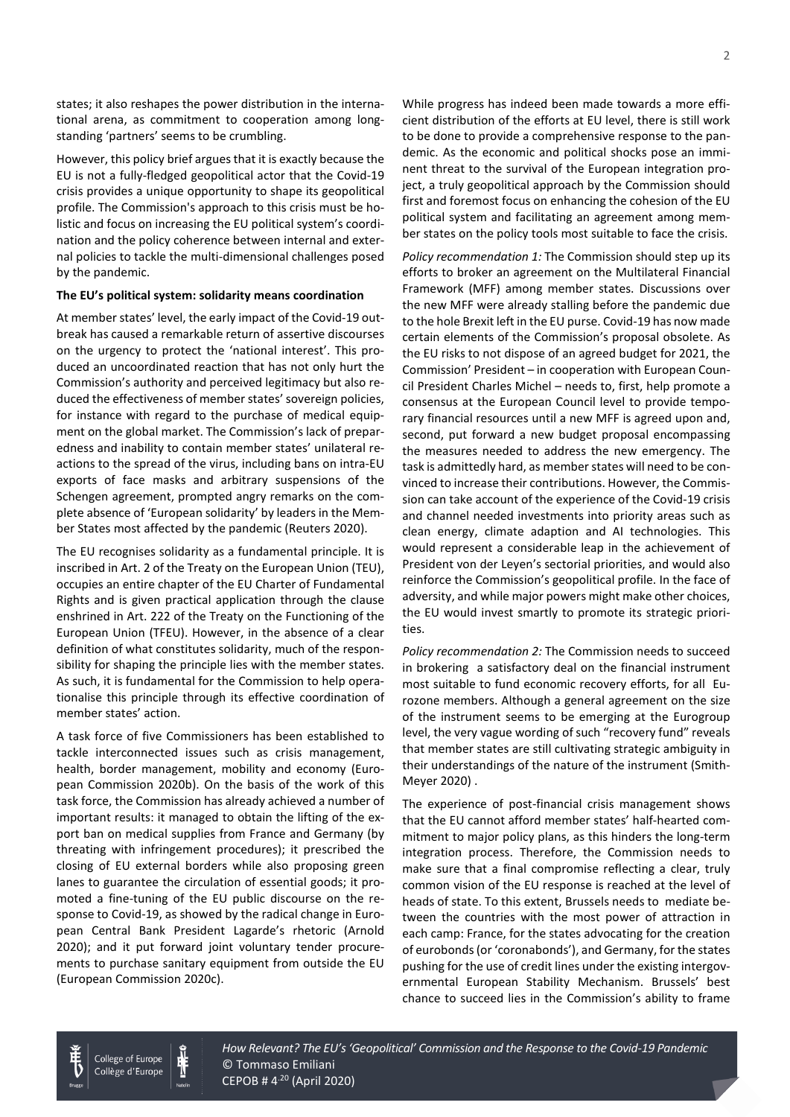states; it also reshapes the power distribution in the international arena, as commitment to cooperation among longstanding 'partners' seems to be crumbling.

However, this policy brief argues that it is exactly because the EU is not a fully-fledged geopolitical actor that the Covid-19 crisis provides a unique opportunity to shape its geopolitical profile. The Commission's approach to this crisis must be holistic and focus on increasing the EU political system's coordination and the policy coherence between internal and external policies to tackle the multi-dimensional challenges posed by the pandemic.

### **The EU's political system: solidarity means coordination**

At member states' level, the early impact of the Covid-19 outbreak has caused a remarkable return of assertive discourses on the urgency to protect the 'national interest'. This produced an uncoordinated reaction that has not only hurt the Commission's authority and perceived legitimacy but also reduced the effectiveness of member states' sovereign policies, for instance with regard to the purchase of medical equipment on the global market. The Commission's lack of preparedness and inability to contain member states' unilateral reactions to the spread of the virus, including bans on intra-EU exports of face masks and arbitrary suspensions of the Schengen agreement, prompted angry remarks on the complete absence of 'European solidarity' by leaders in the Member States most affected by the pandemic (Reuters 2020).

The EU recognises solidarity as a fundamental principle. It is inscribed in Art. 2 of the Treaty on the European Union (TEU), occupies an entire chapter of the EU Charter of Fundamental Rights and is given practical application through the clause enshrined in Art. 222 of the Treaty on the Functioning of the European Union (TFEU). However, in the absence of a clear definition of what constitutes solidarity, much of the responsibility for shaping the principle lies with the member states. As such, it is fundamental for the Commission to help operationalise this principle through its effective coordination of member states' action.

A task force of five Commissioners has been established to tackle interconnected issues such as crisis management, health, border management, mobility and economy (European Commission 2020b). On the basis of the work of this task force, the Commission has already achieved a number of important results: it managed to obtain the lifting of the export ban on medical supplies from France and Germany (by threating with infringement procedures); it prescribed the closing of EU external borders while also proposing green lanes to guarantee the circulation of essential goods; it promoted a fine-tuning of the EU public discourse on the response to Covid-19, as showed by the radical change in European Central Bank President Lagarde's rhetoric (Arnold 2020); and it put forward joint voluntary tender procurements to purchase sanitary equipment from outside the EU (European Commission 2020c).

While progress has indeed been made towards a more efficient distribution of the efforts at EU level, there is still work to be done to provide a comprehensive response to the pandemic. As the economic and political shocks pose an imminent threat to the survival of the European integration project, a truly geopolitical approach by the Commission should first and foremost focus on enhancing the cohesion of the EU political system and facilitating an agreement among member states on the policy tools most suitable to face the crisis.

*Policy recommendation 1:* The Commission should step up its efforts to broker an agreement on the Multilateral Financial Framework (MFF) among member states. Discussions over the new MFF were already stalling before the pandemic due to the hole Brexit left in the EU purse. Covid-19 has now made certain elements of the Commission's proposal obsolete. As the EU risks to not dispose of an agreed budget for 2021, the Commission' President – in cooperation with European Council President Charles Michel – needs to, first, help promote a consensus at the European Council level to provide temporary financial resources until a new MFF is agreed upon and, second, put forward a new budget proposal encompassing the measures needed to address the new emergency. The task is admittedly hard, as member states will need to be convinced to increase their contributions. However, the Commission can take account of the experience of the Covid-19 crisis and channel needed investments into priority areas such as clean energy, climate adaption and AI technologies. This would represent a considerable leap in the achievement of President von der Leyen's sectorial priorities, and would also reinforce the Commission's geopolitical profile. In the face of adversity, and while major powers might make other choices, the EU would invest smartly to promote its strategic priorities.

*Policy recommendation 2:* The Commission needs to succeed in brokering a satisfactory deal on the financial instrument most suitable to fund economic recovery efforts, for all Eurozone members. Although a general agreement on the size of the instrument seems to be emerging at the Eurogroup level, the very vague wording of such "recovery fund" reveals that member states are still cultivating strategic ambiguity in their understandings of the nature of the instrument (Smith-Meyer 2020) .

The experience of post-financial crisis management shows that the EU cannot afford member states' half-hearted commitment to major policy plans, as this hinders the long-term integration process. Therefore, the Commission needs to make sure that a final compromise reflecting a clear, truly common vision of the EU response is reached at the level of heads of state. To this extent, Brussels needs to mediate between the countries with the most power of attraction in each camp: France, for the states advocating for the creation of eurobonds (or 'coronabonds'), and Germany, for the states pushing for the use of credit lines under the existing intergovernmental European Stability Mechanism. Brussels' best chance to succeed lies in the Commission's ability to frame





How Relevant? The EU's 'Geopolitical' Commission and the Response to the Covid-19 Pandemic © Tommaso Emiliani  $CEPOB # 4<sup>.20</sup> (April 2020)$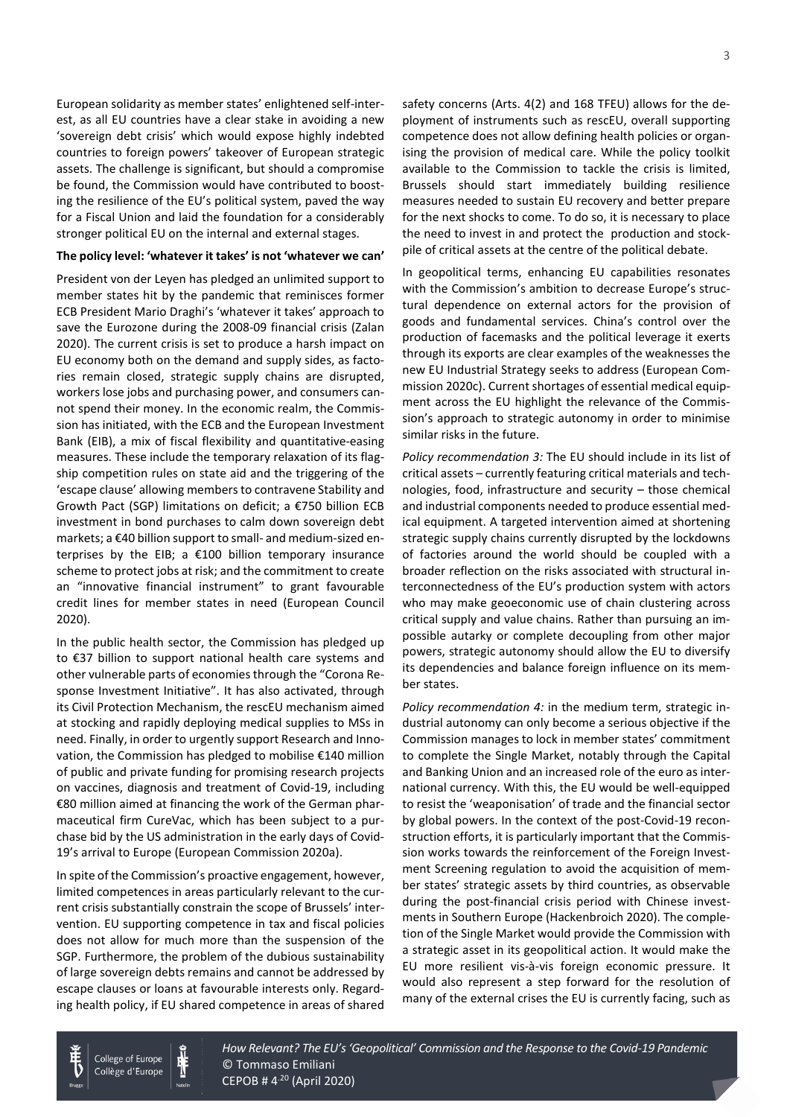European solidarity as member states' enlightened self-interest, as all EU countries have a clear stake in avoiding a new 'sovereign debt crisis' which would expose highly indebted countries to foreign powers' takeover of European strategic assets. The challenge is significant, but should a compromise be found, the Commission would have contributed to boosting the resilience of the EU's political system, paved the way for a Fiscal Union and laid the foundation for a considerably stronger political EU on the internal and external stages.

#### **The policy level: 'whatever it takes' is not 'whatever we can'**

President von der Leyen has pledged an unlimited support to member states hit by the pandemic that reminisces former ECB President Mario Draghi's 'whatever it takes' approach to save the Eurozone during the 2008-09 financial crisis (Zalan 2020). The current crisis is set to produce a harsh impact on EU economy both on the demand and supply sides, as factories remain closed, strategic supply chains are disrupted, workers lose jobs and purchasing power, and consumers cannot spend their money. In the economic realm, the Commission has initiated, with the ECB and the European Investment Bank (EIB), a mix of fiscal flexibility and quantitative-easing measures. These include the temporary relaxation of its flagship competition rules on state aid and the triggering of the 'escape clause' allowing members to contravene Stability and Growth Pact (SGP) limitations on deficit; a €750 billion ECB investment in bond purchases to calm down sovereign debt markets; a €40 billion support to small- and medium-sized enterprises by the EIB; a €100 billion temporary insurance scheme to protect jobs at risk; and the commitment to create an "innovative financial instrument" to grant favourable credit lines for member states in need (European Council 2020).

In the public health sector, the Commission has pledged up to €37 billion to support national health care systems and other vulnerable parts of economies through the "Corona Response Investment Initiative". It has also activated, through its Civil Protection Mechanism, the rescEU mechanism aimed at stocking and rapidly deploying medical supplies to MSs in need. Finally, in order to urgently support Research and Innovation, the Commission has pledged to mobilise €140 million of public and private funding for promising research projects on vaccines, diagnosis and treatment of Covid-19, including €80 million aimed at financing the work of the German pharmaceutical firm CureVac, which has been subject to a purchase bid by the US administration in the early days of Covid-19's arrival to Europe (European Commission 2020a).

In spite of the Commission's proactive engagement, however, limited competences in areas particularly relevant to the current crisis substantially constrain the scope of Brussels' intervention. EU supporting competence in tax and fiscal policies does not allow for much more than the suspension of the SGP. Furthermore, the problem of the dubious sustainability of large sovereign debts remains and cannot be addressed by escape clauses or loans at favourable interests only. Regarding health policy, if EU shared competence in areas of shared safety concerns (Arts. 4(2) and 168 TFEU) allows for the deployment of instruments such as rescEU, overall supporting competence does not allow defining health policies or organising the provision of medical care. While the policy toolkit available to the Commission to tackle the crisis is limited, Brussels should start immediately building resilience measures needed to sustain EU recovery and better prepare for the next shocks to come. To do so, it is necessary to place the need to invest in and protect the production and stockpile of critical assets at the centre of the political debate.

In geopolitical terms, enhancing EU capabilities resonates with the Commission's ambition to decrease Europe's structural dependence on external actors for the provision of goods and fundamental services. China's control over the production of facemasks and the political leverage it exerts through its exports are clear examples of the weaknesses the new EU Industrial Strategy seeks to address (European Commission 2020c). Current shortages of essential medical equipment across the EU highlight the relevance of the Commission's approach to strategic autonomy in order to minimise similar risks in the future.

*Policy recommendation 3:* The EU should include in its list of critical assets – currently featuring critical materials and technologies, food, infrastructure and security – those chemical and industrial components needed to produce essential medical equipment. A targeted intervention aimed at shortening strategic supply chains currently disrupted by the lockdowns of factories around the world should be coupled with a broader reflection on the risks associated with structural interconnectedness of the EU's production system with actors who may make geoeconomic use of chain clustering across critical supply and value chains. Rather than pursuing an impossible autarky or complete decoupling from other major powers, strategic autonomy should allow the EU to diversify its dependencies and balance foreign influence on its member states.

*Policy recommendation 4:* in the medium term, strategic industrial autonomy can only become a serious objective if the Commission manages to lock in member states' commitment to complete the Single Market, notably through the Capital and Banking Union and an increased role of the euro as international currency. With this, the EU would be well-equipped to resist the 'weaponisation' of trade and the financial sector by global powers. In the context of the post-Covid-19 reconstruction efforts, it is particularly important that the Commission works towards the reinforcement of the Foreign Investment Screening regulation to avoid the acquisition of member states' strategic assets by third countries, as observable during the post-financial crisis period with Chinese investments in Southern Europe (Hackenbroich 2020). The completion of the Single Market would provide the Commission with a strategic asset in its geopolitical action. It would make the EU more resilient vis-à-vis foreign economic pressure. It would also represent a step forward for the resolution of many of the external crises the EU is currently facing, such as



College of Europe Collège d'Europe How Relevant? The EU's 'Geopolitical' Commission and the Response to the Covid-19 Pandemic © Tommaso Emiliani  $CEPOB # 4<sup>.20</sup> (April 2020)$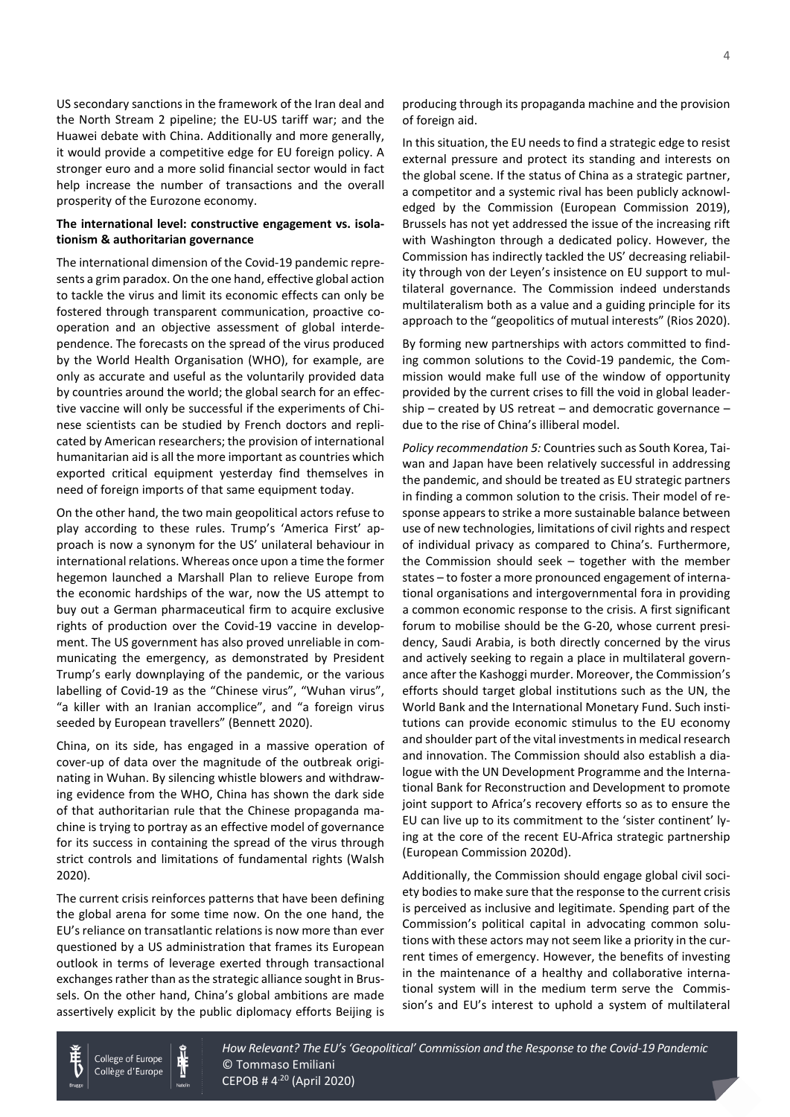US secondary sanctions in the framework of the Iran deal and the North Stream 2 pipeline; the EU-US tariff war; and the Huawei debate with China. Additionally and more generally, it would provide a competitive edge for EU foreign policy. A stronger euro and a more solid financial sector would in fact help increase the number of transactions and the overall prosperity of the Eurozone economy.

## **The international level: constructive engagement vs. isolationism & authoritarian governance**

The international dimension of the Covid-19 pandemic represents a grim paradox. On the one hand, effective global action to tackle the virus and limit its economic effects can only be fostered through transparent communication, proactive cooperation and an objective assessment of global interdependence. The forecasts on the spread of the virus produced by the World Health Organisation (WHO), for example, are only as accurate and useful as the voluntarily provided data by countries around the world; the global search for an effective vaccine will only be successful if the experiments of Chinese scientists can be studied by French doctors and replicated by American researchers; the provision of international humanitarian aid is all the more important as countries which exported critical equipment yesterday find themselves in need of foreign imports of that same equipment today.

On the other hand, the two main geopolitical actors refuse to play according to these rules. Trump's 'America First' approach is now a synonym for the US' unilateral behaviour in international relations. Whereas once upon a time the former hegemon launched a Marshall Plan to relieve Europe from the economic hardships of the war, now the US attempt to buy out a German pharmaceutical firm to acquire exclusive rights of production over the Covid-19 vaccine in development. The US government has also proved unreliable in communicating the emergency, as demonstrated by President Trump's early downplaying of the pandemic, or the various labelling of Covid-19 as the "Chinese virus", "Wuhan virus", "a killer with an Iranian accomplice", and "a foreign virus seeded by European travellers" (Bennett 2020).

China, on its side, has engaged in a massive operation of cover-up of data over the magnitude of the outbreak originating in Wuhan. By silencing whistle blowers and withdrawing evidence from the WHO, China has shown the dark side of that authoritarian rule that the Chinese propaganda machine is trying to portray as an effective model of governance for its success in containing the spread of the virus through strict controls and limitations of fundamental rights (Walsh 2020).

The current crisis reinforces patterns that have been defining the global arena for some time now. On the one hand, the EU's reliance on transatlantic relations is now more than ever questioned by a US administration that frames its European outlook in terms of leverage exerted through transactional exchanges rather than as the strategic alliance sought in Brussels. On the other hand, China's global ambitions are made assertively explicit by the public diplomacy efforts Beijing is

producing through its propaganda machine and the provision of foreign aid.

In this situation, the EU needs to find a strategic edge to resist external pressure and protect its standing and interests on the global scene. If the status of China as a strategic partner, a competitor and a systemic rival has been publicly acknowledged by the Commission (European Commission 2019), Brussels has not yet addressed the issue of the increasing rift with Washington through a dedicated policy. However, the Commission has indirectly tackled the US' decreasing reliability through von der Leyen's insistence on EU support to multilateral governance. The Commission indeed understands multilateralism both as a value and a guiding principle for its approach to the "geopolitics of mutual interests" (Rios 2020).

By forming new partnerships with actors committed to finding common solutions to the Covid-19 pandemic, the Commission would make full use of the window of opportunity provided by the current crises to fill the void in global leadership – created by US retreat – and democratic governance – due to the rise of China's illiberal model.

*Policy recommendation 5:* Countries such as South Korea, Taiwan and Japan have been relatively successful in addressing the pandemic, and should be treated as EU strategic partners in finding a common solution to the crisis. Their model of response appears to strike a more sustainable balance between use of new technologies, limitations of civil rights and respect of individual privacy as compared to China's. Furthermore, the Commission should seek – together with the member states – to foster a more pronounced engagement of international organisations and intergovernmental fora in providing a common economic response to the crisis. A first significant forum to mobilise should be the G-20, whose current presidency, Saudi Arabia, is both directly concerned by the virus and actively seeking to regain a place in multilateral governance after the Kashoggi murder. Moreover, the Commission's efforts should target global institutions such as the UN, the World Bank and the International Monetary Fund. Such institutions can provide economic stimulus to the EU economy and shoulder part of the vital investments in medical research and innovation. The Commission should also establish a dialogue with the UN Development Programme and the International Bank for Reconstruction and Development to promote joint support to Africa's recovery efforts so as to ensure the EU can live up to its commitment to the 'sister continent' lying at the core of the recent EU-Africa strategic partnership (European Commission 2020d).

Additionally, the Commission should engage global civil society bodies to make sure that the response to the current crisis is perceived as inclusive and legitimate. Spending part of the Commission's political capital in advocating common solutions with these actors may not seem like a priority in the current times of emergency. However, the benefits of investing in the maintenance of a healthy and collaborative international system will in the medium term serve the Commission's and EU's interest to uphold a system of multilateral





How Relevant? The EU's 'Geopolitical' Commission and the Response to the Covid-19 Pandemic © Tommaso Emiliani  $CEPOB # 4<sup>.20</sup> (April 2020)$